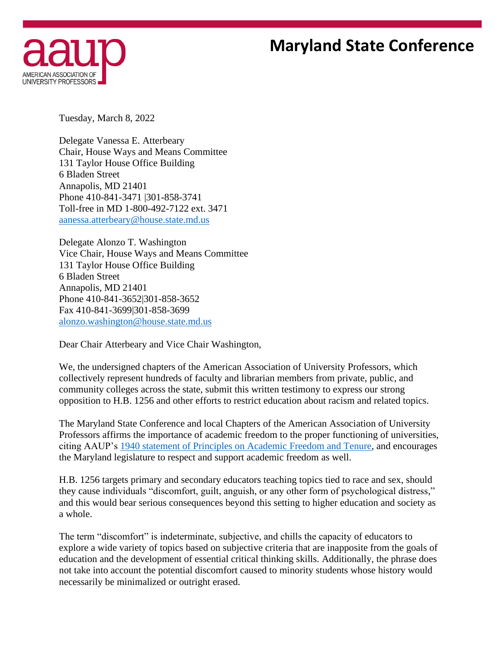## **Maryland State Conference**



Tuesday, March 8, 2022

Delegate Vanessa E. Atterbeary Chair, House Ways and Means Committee 131 Taylor House Office Building 6 Bladen Street Annapolis, MD 21401 Phone 410-841-3471 |301-858-3741 Toll-free in MD 1-800-492-7122 ext. 3471 [aanessa.atterbeary@house.state.md.us](mailto:aanessa.atterbeary@house.state.md.us)

Delegate Alonzo T. Washington Vice Chair, House Ways and Means Committee 131 Taylor House Office Building 6 Bladen Street Annapolis, MD 21401 Phone 410-841-3652|301-858-3652 Fax 410-841-3699|301-858-3699 [alonzo.washington@house.state.md.us](mailto:alonzo.washington@house.state.md.us)

Dear Chair Atterbeary and Vice Chair Washington,

We, the undersigned chapters of the American Association of University Professors, which collectively represent hundreds of faculty and librarian members from private, public, and community colleges across the state, submit this written testimony to express our strong opposition to H.B. 1256 and other efforts to restrict education about racism and related topics.

The Maryland State Conference and local Chapters of the American Association of University Professors affirms the importance of academic freedom to the proper functioning of universities, citing AAUP's 1940 [statement of Principles on Academic Freedom and Tenure,](https://www.aaup.org/report/1940-statement-principles-academic-freedom-and-tenure) and encourages the Maryland legislature to respect and support academic freedom as well.

H.B. 1256 targets primary and secondary educators teaching topics tied to race and sex, should they cause individuals "discomfort, guilt, anguish, or any other form of psychological distress," and this would bear serious consequences beyond this setting to higher education and society as a whole.

The term "discomfort" is indeterminate, subjective, and chills the capacity of educators to explore a wide variety of topics based on subjective criteria that are inapposite from the goals of education and the development of essential critical thinking skills. Additionally, the phrase does not take into account the potential discomfort caused to minority students whose history would necessarily be minimalized or outright erased.